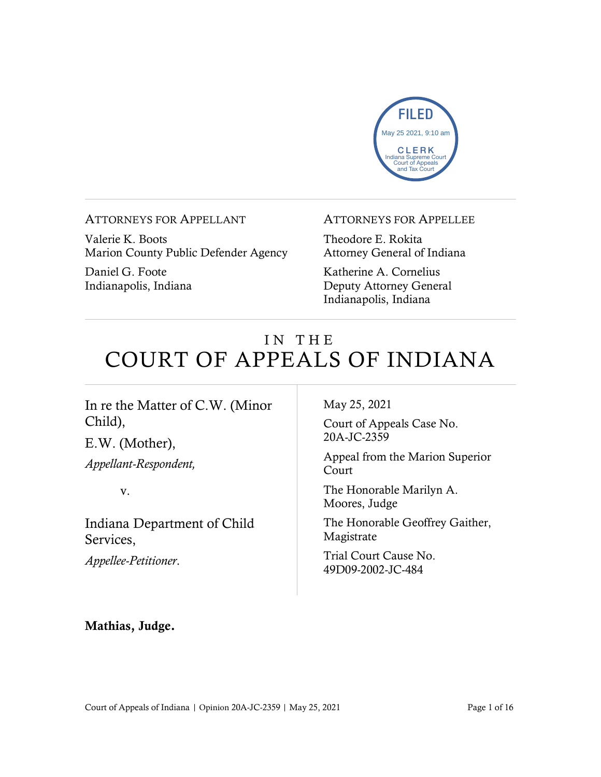

ATTORNEYS FOR APPELLANT

Valerie K. Boots Marion County Public Defender Agency

Daniel G. Foote Indianapolis, Indiana

#### ATTORNEYS FOR APPELLEE

Theodore E. Rokita Attorney General of Indiana

Katherine A. Cornelius Deputy Attorney General Indianapolis, Indiana

# IN THE COURT OF APPEALS OF INDIANA

#### In re the Matter of C.W. (Minor Child),

E.W. (Mother),

*Appellant-Respondent,*

v.

Indiana Department of Child Services,

*Appellee-Petitioner*.

May 25, 2021

Court of Appeals Case No. 20A-JC-2359

Appeal from the Marion Superior Court

The Honorable Marilyn A. Moores, Judge

The Honorable Geoffrey Gaither, Magistrate

Trial Court Cause No. 49D09-2002-JC-484

#### Mathias, Judge.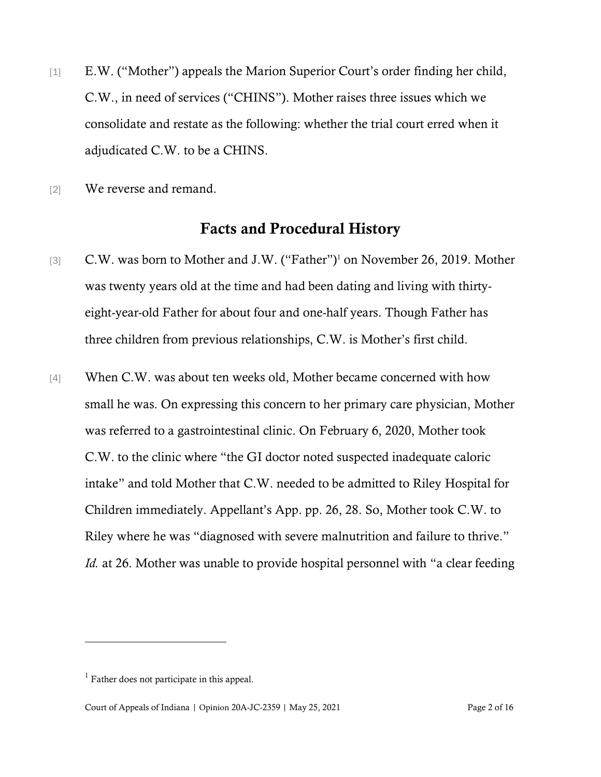- [1] E.W. ("Mother") appeals the Marion Superior Court's order finding her child, C.W., in need of services ("CHINS"). Mother raises three issues which we consolidate and restate as the following: whether the trial court erred when it adjudicated C.W. to be a CHINS.
- [2] We reverse and remand.

#### Facts and Procedural History

- [3] C.W. was born to Mother and J.W. ("Father")<sup>1</sup> on November 26, 2019. Mother was twenty years old at the time and had been dating and living with thirtyeight-year-old Father for about four and one-half years. Though Father has three children from previous relationships, C.W. is Mother's first child.
- [4] When C.W. was about ten weeks old, Mother became concerned with how small he was. On expressing this concern to her primary care physician, Mother was referred to a gastrointestinal clinic. On February 6, 2020, Mother took C.W. to the clinic where "the GI doctor noted suspected inadequate caloric intake" and told Mother that C.W. needed to be admitted to Riley Hospital for Children immediately. Appellant's App. pp. 26, 28. So, Mother took C.W. to Riley where he was "diagnosed with severe malnutrition and failure to thrive." *Id.* at 26. Mother was unable to provide hospital personnel with "a clear feeding

<sup>&</sup>lt;sup>1</sup> Father does not participate in this appeal.

Court of Appeals of Indiana | Opinion 20A-JC-2359 | May 25, 2021 Page 2 of 16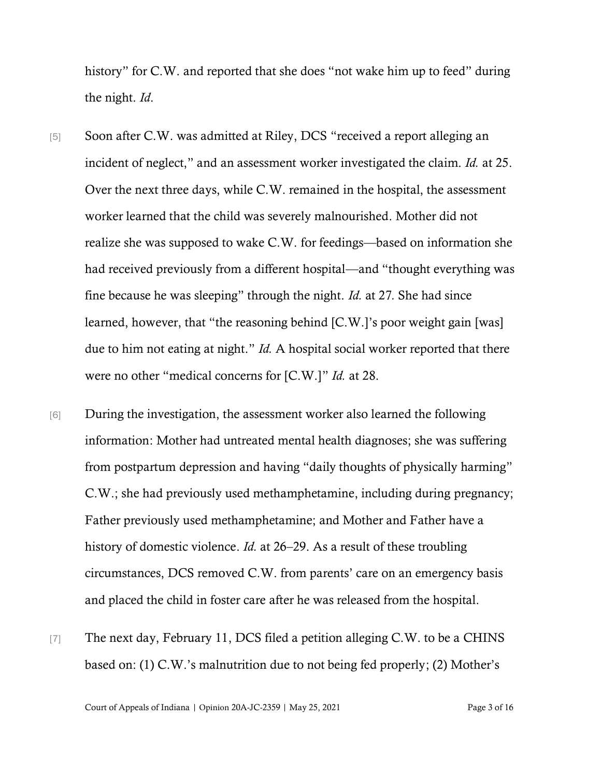history" for C.W. and reported that she does "not wake him up to feed" during the night. *Id*.

- [5] Soon after C.W. was admitted at Riley, DCS "received a report alleging an incident of neglect," and an assessment worker investigated the claim. *Id.* at 25. Over the next three days, while C.W. remained in the hospital, the assessment worker learned that the child was severely malnourished. Mother did not realize she was supposed to wake C.W. for feedings—based on information she had received previously from a different hospital—and "thought everything was fine because he was sleeping" through the night. *Id.* at 27*.* She had since learned, however, that "the reasoning behind [C.W.]'s poor weight gain [was] due to him not eating at night." *Id.* A hospital social worker reported that there were no other "medical concerns for [C.W.]" *Id.* at 28.
- [6] During the investigation, the assessment worker also learned the following information: Mother had untreated mental health diagnoses; she was suffering from postpartum depression and having "daily thoughts of physically harming" C.W.; she had previously used methamphetamine, including during pregnancy; Father previously used methamphetamine; and Mother and Father have a history of domestic violence. *Id.* at 26–29. As a result of these troubling circumstances, DCS removed C.W. from parents' care on an emergency basis and placed the child in foster care after he was released from the hospital.
- [7] The next day, February 11, DCS filed a petition alleging C.W. to be a CHINS based on: (1) C.W.'s malnutrition due to not being fed properly; (2) Mother's

Court of Appeals of Indiana | Opinion 20A-JC-2359 | May 25, 2021 Page 3 of 16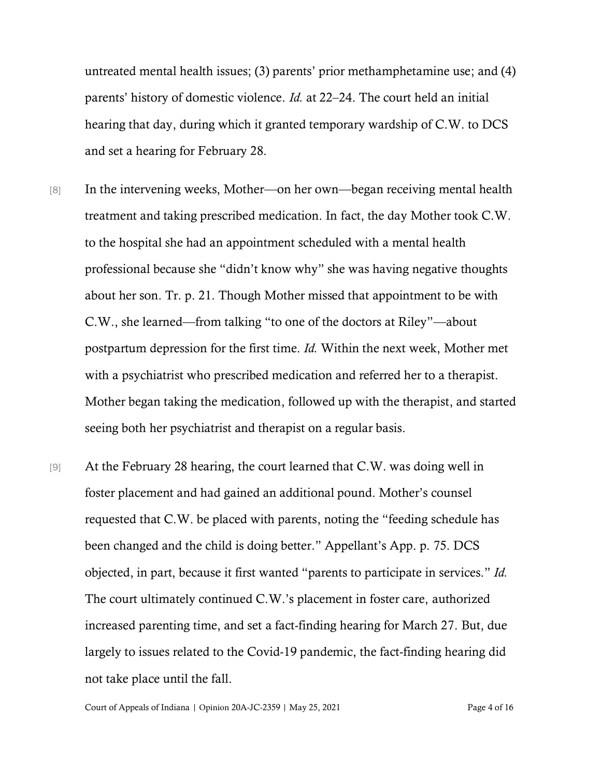untreated mental health issues; (3) parents' prior methamphetamine use; and (4) parents' history of domestic violence. *Id.* at 22–24. The court held an initial hearing that day, during which it granted temporary wardship of C.W. to DCS and set a hearing for February 28.

- [8] In the intervening weeks, Mother—on her own—began receiving mental health treatment and taking prescribed medication. In fact, the day Mother took C.W. to the hospital she had an appointment scheduled with a mental health professional because she "didn't know why" she was having negative thoughts about her son. Tr. p. 21. Though Mother missed that appointment to be with C.W., she learned—from talking "to one of the doctors at Riley"—about postpartum depression for the first time. *Id.* Within the next week, Mother met with a psychiatrist who prescribed medication and referred her to a therapist. Mother began taking the medication, followed up with the therapist, and started seeing both her psychiatrist and therapist on a regular basis.
- [9] At the February 28 hearing, the court learned that C.W. was doing well in foster placement and had gained an additional pound. Mother's counsel requested that C.W. be placed with parents, noting the "feeding schedule has been changed and the child is doing better." Appellant's App. p. 75. DCS objected, in part, because it first wanted "parents to participate in services." *Id.* The court ultimately continued C.W.'s placement in foster care, authorized increased parenting time, and set a fact-finding hearing for March 27. But, due largely to issues related to the Covid-19 pandemic, the fact-finding hearing did not take place until the fall.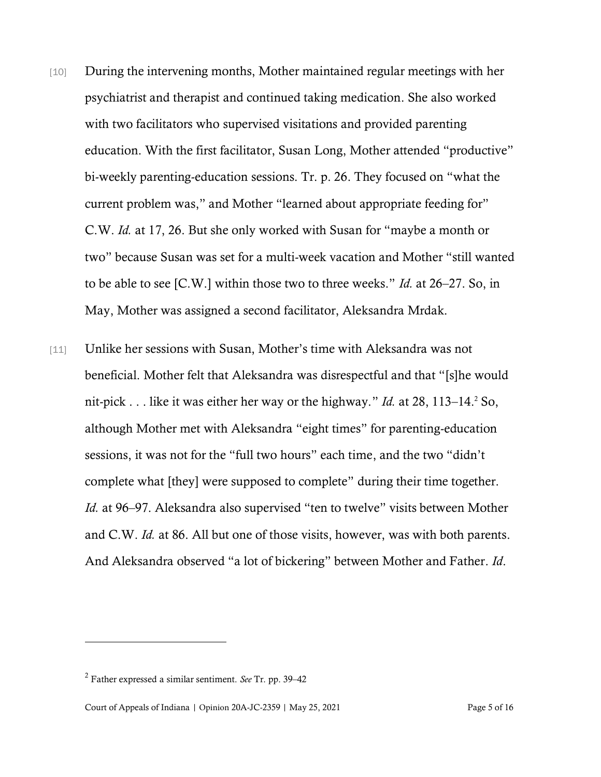- [10] During the intervening months, Mother maintained regular meetings with her psychiatrist and therapist and continued taking medication. She also worked with two facilitators who supervised visitations and provided parenting education. With the first facilitator, Susan Long, Mother attended "productive" bi-weekly parenting-education sessions. Tr. p. 26. They focused on "what the current problem was," and Mother "learned about appropriate feeding for" C.W. *Id.* at 17, 26. But she only worked with Susan for "maybe a month or two" because Susan was set for a multi-week vacation and Mother "still wanted to be able to see [C.W.] within those two to three weeks." *Id.* at 26–27. So, in May, Mother was assigned a second facilitator, Aleksandra Mrdak.
- [11] Unlike her sessions with Susan, Mother's time with Aleksandra was not beneficial. Mother felt that Aleksandra was disrespectful and that "[s]he would nit-pick . . . like it was either her way or the highway." *Id.* at 28, 113–14.<sup>2</sup> So, although Mother met with Aleksandra "eight times" for parenting-education sessions, it was not for the "full two hours" each time, and the two "didn't complete what [they] were supposed to complete" during their time together. *Id.* at 96–97. Aleksandra also supervised "ten to twelve" visits between Mother and C.W. *Id.* at 86. All but one of those visits, however, was with both parents. And Aleksandra observed "a lot of bickering" between Mother and Father. *Id*.

<sup>2</sup> Father expressed a similar sentiment. *See* Tr. pp. 39–42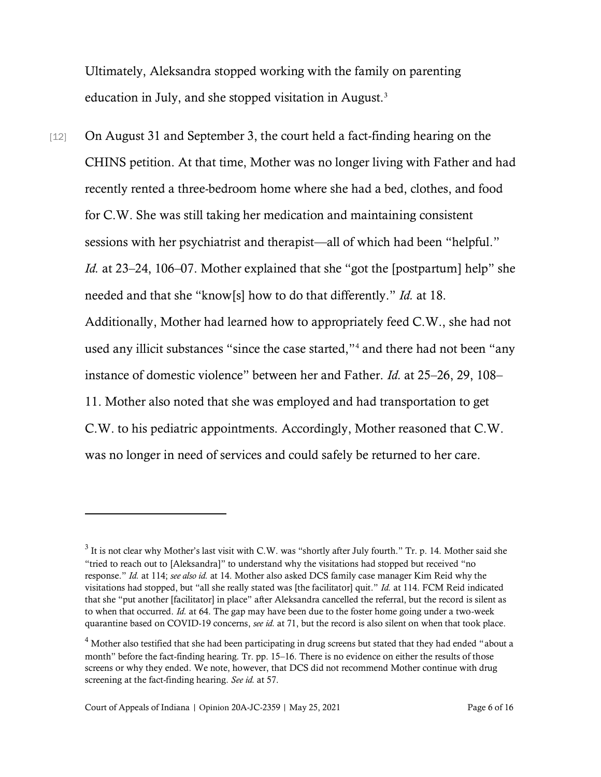Ultimately, Aleksandra stopped working with the family on parenting education in July, and she stopped visitation in August.<sup>3</sup>

[12] On August 31 and September 3, the court held a fact-finding hearing on the CHINS petition. At that time, Mother was no longer living with Father and had recently rented a three-bedroom home where she had a bed, clothes, and food for C.W. She was still taking her medication and maintaining consistent sessions with her psychiatrist and therapist—all of which had been "helpful." *Id.* at 23–24, 106–07. Mother explained that she "got the [postpartum] help" she needed and that she "know[s] how to do that differently." *Id.* at 18. Additionally, Mother had learned how to appropriately feed C.W., she had not used any illicit substances "since the case started,"<sup>4</sup> and there had not been "any instance of domestic violence" between her and Father. *Id.* at 25–26, 29, 108– 11. Mother also noted that she was employed and had transportation to get C.W. to his pediatric appointments. Accordingly, Mother reasoned that C.W. was no longer in need of services and could safely be returned to her care.

 $3$  It is not clear why Mother's last visit with C.W. was "shortly after July fourth." Tr. p. 14. Mother said she "tried to reach out to [Aleksandra]" to understand why the visitations had stopped but received "no response." *Id.* at 114; *see also id.* at 14. Mother also asked DCS family case manager Kim Reid why the visitations had stopped, but "all she really stated was [the facilitator] quit." *Id.* at 114. FCM Reid indicated that she "put another [facilitator] in place" after Aleksandra cancelled the referral, but the record is silent as to when that occurred. *Id.* at 64. The gap may have been due to the foster home going under a two-week quarantine based on COVID-19 concerns, *see id.* at 71, but the record is also silent on when that took place.

<sup>&</sup>lt;sup>4</sup> Mother also testified that she had been participating in drug screens but stated that they had ended "about a month" before the fact-finding hearing. Tr. pp. 15–16. There is no evidence on either the results of those screens or why they ended. We note, however, that DCS did not recommend Mother continue with drug screening at the fact-finding hearing. *See id.* at 57.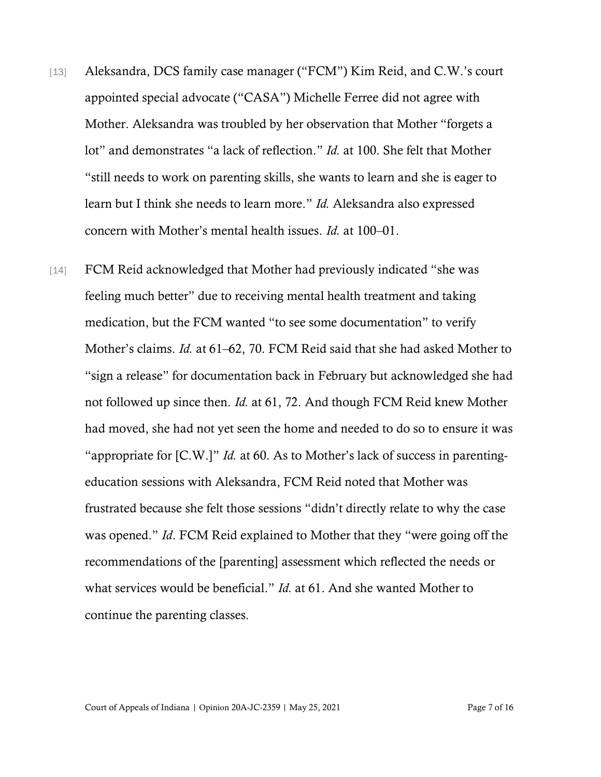- [13] Aleksandra, DCS family case manager ("FCM") Kim Reid, and C.W.'s court appointed special advocate ("CASA") Michelle Ferree did not agree with Mother. Aleksandra was troubled by her observation that Mother "forgets a lot" and demonstrates "a lack of reflection." *Id.* at 100. She felt that Mother "still needs to work on parenting skills, she wants to learn and she is eager to learn but I think she needs to learn more." *Id.* Aleksandra also expressed concern with Mother's mental health issues. *Id.* at 100–01.
- [14] FCM Reid acknowledged that Mother had previously indicated "she was feeling much better" due to receiving mental health treatment and taking medication, but the FCM wanted "to see some documentation" to verify Mother's claims. *Id.* at 61–62, 70. FCM Reid said that she had asked Mother to "sign a release" for documentation back in February but acknowledged she had not followed up since then. *Id.* at 61, 72. And though FCM Reid knew Mother had moved, she had not yet seen the home and needed to do so to ensure it was "appropriate for [C.W.]" *Id.* at 60. As to Mother's lack of success in parentingeducation sessions with Aleksandra, FCM Reid noted that Mother was frustrated because she felt those sessions "didn't directly relate to why the case was opened." *Id*. FCM Reid explained to Mother that they "were going off the recommendations of the [parenting] assessment which reflected the needs or what services would be beneficial." *Id.* at 61. And she wanted Mother to continue the parenting classes.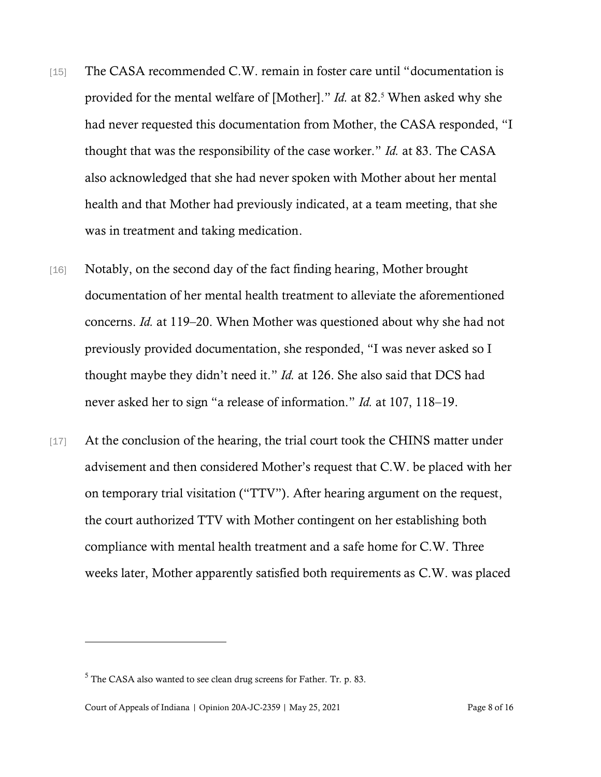- [15] The CASA recommended C.W. remain in foster care until "documentation is provided for the mental welfare of [Mother]." *Id.* at 82.<sup>5</sup> When asked why she had never requested this documentation from Mother, the CASA responded, "I thought that was the responsibility of the case worker." *Id.* at 83. The CASA also acknowledged that she had never spoken with Mother about her mental health and that Mother had previously indicated, at a team meeting, that she was in treatment and taking medication.
- [16] Notably, on the second day of the fact finding hearing, Mother brought documentation of her mental health treatment to alleviate the aforementioned concerns. *Id.* at 119–20. When Mother was questioned about why she had not previously provided documentation, she responded, "I was never asked so I thought maybe they didn't need it." *Id.* at 126. She also said that DCS had never asked her to sign "a release of information." *Id.* at 107, 118–19.
- [17] At the conclusion of the hearing, the trial court took the CHINS matter under advisement and then considered Mother's request that C.W. be placed with her on temporary trial visitation ("TTV"). After hearing argument on the request, the court authorized TTV with Mother contingent on her establishing both compliance with mental health treatment and a safe home for C.W. Three weeks later, Mother apparently satisfied both requirements as C.W. was placed

 $5$  The CASA also wanted to see clean drug screens for Father. Tr. p. 83.

Court of Appeals of Indiana | Opinion 20A-JC-2359 | May 25, 2021 Page 8 of 16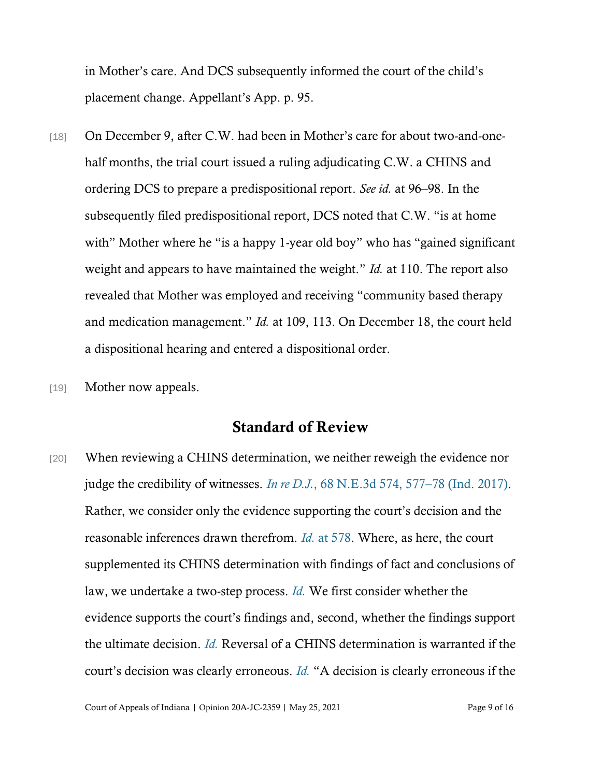in Mother's care. And DCS subsequently informed the court of the child's placement change. Appellant's App. p. 95.

- [18] On December 9, after C.W. had been in Mother's care for about two-and-onehalf months, the trial court issued a ruling adjudicating C.W. a CHINS and ordering DCS to prepare a predispositional report. *See id.* at 96–98. In the subsequently filed predispositional report, DCS noted that C.W. "is at home with" Mother where he "is a happy 1-year old boy" who has "gained significant" weight and appears to have maintained the weight." *Id.* at 110. The report also revealed that Mother was employed and receiving "community based therapy and medication management." *Id.* at 109, 113. On December 18, the court held a dispositional hearing and entered a dispositional order.
- [19] **Mother now appeals.**

#### Standard of Review

[20] When reviewing a CHINS determination, we neither reweigh the evidence nor judge the credibility of witnesses. *In re D.J.*[, 68 N.E.3d 574, 577](https://www.westlaw.com/Document/Ie599e370edb511e69a9296e6a6f4a986/View/FullText.html?transitionType=Default&contextData=(sc.Default)&VR=3.0&RS=da3.0&fragmentIdentifier=co_pp_sp_7902_577)–[78 \(Ind. 2017\).](https://www.westlaw.com/Document/Ie599e370edb511e69a9296e6a6f4a986/View/FullText.html?transitionType=Default&contextData=(sc.Default)&VR=3.0&RS=da3.0&fragmentIdentifier=co_pp_sp_7902_577) Rather, we consider only the evidence supporting the court's decision and the reasonable inferences drawn therefrom. *[Id.](https://www.westlaw.com/Document/Ie599e370edb511e69a9296e6a6f4a986/View/FullText.html?transitionType=Default&contextData=(sc.Default)&VR=3.0&RS=da3.0&fragmentIdentifier=co_pp_sp_7902_578)* [at 578.](https://www.westlaw.com/Document/Ie599e370edb511e69a9296e6a6f4a986/View/FullText.html?transitionType=Default&contextData=(sc.Default)&VR=3.0&RS=da3.0&fragmentIdentifier=co_pp_sp_7902_578) Where, as here, the court supplemented its CHINS determination with findings of fact and conclusions of law, we undertake a two-step process. *[Id.](https://www.westlaw.com/Document/Ie599e370edb511e69a9296e6a6f4a986/View/FullText.html?transitionType=Default&contextData=(sc.Default)&VR=3.0&RS=da3.0)* We first consider whether the evidence supports the court's findings and, second, whether the findings support the ultimate decision. *[Id.](https://www.westlaw.com/Document/Ie599e370edb511e69a9296e6a6f4a986/View/FullText.html?transitionType=Default&contextData=(sc.Default)&VR=3.0&RS=da3.0)* Reversal of a CHINS determination is warranted if the court's decision was clearly erroneous. *[Id.](https://www.westlaw.com/Document/Ie599e370edb511e69a9296e6a6f4a986/View/FullText.html?transitionType=Default&contextData=(sc.Default)&VR=3.0&RS=da3.0)* "A decision is clearly erroneous if the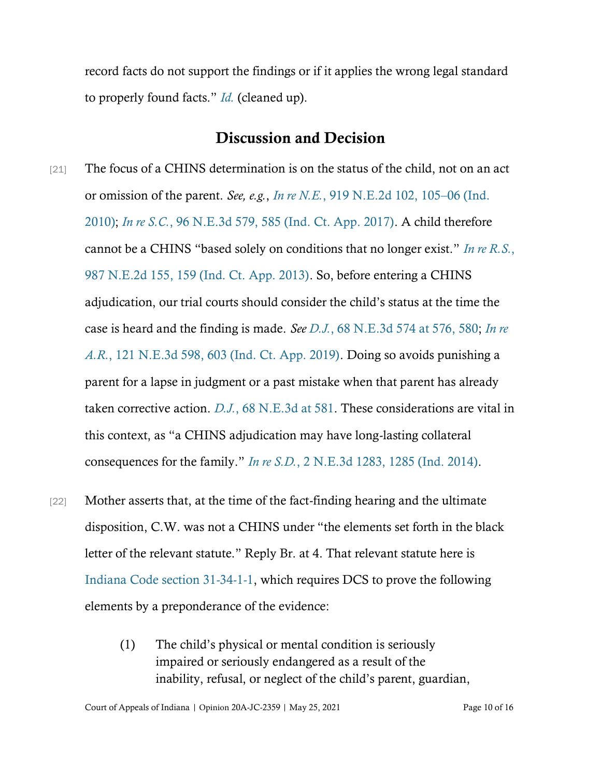record facts do not support the findings or if it applies the wrong legal standard to properly found facts." *[Id.](https://www.westlaw.com/Document/Ie599e370edb511e69a9296e6a6f4a986/View/FullText.html?transitionType=Default&contextData=(sc.Default)&VR=3.0&RS=da3.0)* (cleaned up).

#### Discussion and Decision

- [21] The focus of a CHINS determination is on the status of the child, not on an act or omission of the parent. *See, e.g.*, *In re N.E.*[, 919 N.E.2d 102, 105](https://www.westlaw.com/Document/Ic5322a9afbc211deb08de1b7506ad85b/View/FullText.html?transitionType=Default&contextData=(sc.Default)&VR=3.0&RS=da3.0&fragmentIdentifier=co_pp_sp_578_105)–[06 \(Ind.](https://www.westlaw.com/Document/Ic5322a9afbc211deb08de1b7506ad85b/View/FullText.html?transitionType=Default&contextData=(sc.Default)&VR=3.0&RS=da3.0&fragmentIdentifier=co_pp_sp_578_105) [2010\);](https://www.westlaw.com/Document/Ic5322a9afbc211deb08de1b7506ad85b/View/FullText.html?transitionType=Default&contextData=(sc.Default)&VR=3.0&RS=da3.0&fragmentIdentifier=co_pp_sp_578_105) *[In re S.C.](https://www.westlaw.com/Document/I925dd360546611e8a6608077647c238b/View/FullText.html?transitionType=Default&contextData=(sc.Default)&VR=3.0&RS=da3.0&fragmentIdentifier=co_pp_sp_7902_585)*[, 96 N.E.3d 579, 585 \(Ind. Ct. App. 2017\).](https://www.westlaw.com/Document/I925dd360546611e8a6608077647c238b/View/FullText.html?transitionType=Default&contextData=(sc.Default)&VR=3.0&RS=da3.0&fragmentIdentifier=co_pp_sp_7902_585) A child therefore cannot be a CHINS "based solely on conditions that no longer exist." *[In re R.S.](https://www.westlaw.com/Document/I520da91fb1da11e2a555d241dae65084/View/FullText.html?transitionType=Default&contextData=(sc.Default)&VR=3.0&RS=da3.0&fragmentIdentifier=co_pp_sp_578_159)*[,](https://www.westlaw.com/Document/I520da91fb1da11e2a555d241dae65084/View/FullText.html?transitionType=Default&contextData=(sc.Default)&VR=3.0&RS=da3.0&fragmentIdentifier=co_pp_sp_578_159) [987 N.E.2d 155, 159 \(Ind. Ct. App. 2013\).](https://www.westlaw.com/Document/I520da91fb1da11e2a555d241dae65084/View/FullText.html?transitionType=Default&contextData=(sc.Default)&VR=3.0&RS=da3.0&fragmentIdentifier=co_pp_sp_578_159) So, before entering a CHINS adjudication, our trial courts should consider the child's status at the time the case is heard and the finding is made. *Se[e D.J.](https://www.westlaw.com/Document/Ie599e370edb511e69a9296e6a6f4a986/View/FullText.html?transitionType=Default&contextData=(sc.Default)&VR=3.0&RS=da3.0&fragmentIdentifier=co_pp_sp_7902_576%2c+580)*[, 68 N.E.3d 574 at 576, 580;](https://www.westlaw.com/Document/Ie599e370edb511e69a9296e6a6f4a986/View/FullText.html?transitionType=Default&contextData=(sc.Default)&VR=3.0&RS=da3.0&fragmentIdentifier=co_pp_sp_7902_576%2c+580) *[In re](https://www.westlaw.com/Document/Icecf284054b411e98ad7980ccbaa346a/View/FullText.html?transitionType=Default&contextData=(sc.Default)&VR=3.0&RS=da3.0&fragmentIdentifier=co_pp_sp_7902_603) [A.R.](https://www.westlaw.com/Document/Icecf284054b411e98ad7980ccbaa346a/View/FullText.html?transitionType=Default&contextData=(sc.Default)&VR=3.0&RS=da3.0&fragmentIdentifier=co_pp_sp_7902_603)*[, 121 N.E.3d 598, 603 \(Ind. Ct. App. 2019\).](https://www.westlaw.com/Document/Icecf284054b411e98ad7980ccbaa346a/View/FullText.html?transitionType=Default&contextData=(sc.Default)&VR=3.0&RS=da3.0&fragmentIdentifier=co_pp_sp_7902_603) Doing so avoids punishing a parent for a lapse in judgment or a past mistake when that parent has already taken corrective action. *[D.J.](https://www.westlaw.com/Document/Ie599e370edb511e69a9296e6a6f4a986/View/FullText.html?transitionType=Default&contextData=(sc.Default)&VR=3.0&RS=da3.0&fragmentIdentifier=co_pp_sp_7902_581)*[, 68 N.E.3d at 581.](https://www.westlaw.com/Document/Ie599e370edb511e69a9296e6a6f4a986/View/FullText.html?transitionType=Default&contextData=(sc.Default)&VR=3.0&RS=da3.0&fragmentIdentifier=co_pp_sp_7902_581) These considerations are vital in this context, as "a CHINS adjudication may have long-lasting collateral consequences for the family." *[In re S.D.](https://www.westlaw.com/Document/I2cdd6db594b411e38914df21cb42a557/View/FullText.html?transitionType=Default&contextData=(sc.Default)&VR=3.0&RS=da3.0&fragmentIdentifier=co_pp_sp_7902_1285)*[, 2 N.E.3d 1283, 1285 \(Ind. 2014\).](https://www.westlaw.com/Document/I2cdd6db594b411e38914df21cb42a557/View/FullText.html?transitionType=Default&contextData=(sc.Default)&VR=3.0&RS=da3.0&fragmentIdentifier=co_pp_sp_7902_1285)
- [22] Mother asserts that, at the time of the fact-finding hearing and the ultimate disposition, C.W. was not a CHINS under "the elements set forth in the black letter of the relevant statute." Reply Br. at 4. That relevant statute here is [Indiana Code section 31-34-1-1,](https://www.westlaw.com/Document/NB33DAE60909D11E984C6B72F156B0EC8/View/FullText.html?transitionType=Default&contextData=(sc.Default)&VR=3.0&RS=da3.0) which requires DCS to prove the following elements by a preponderance of the evidence:
	- (1) The child's physical or mental condition is seriously impaired or seriously endangered as a result of the inability, refusal, or neglect of the child's parent, guardian,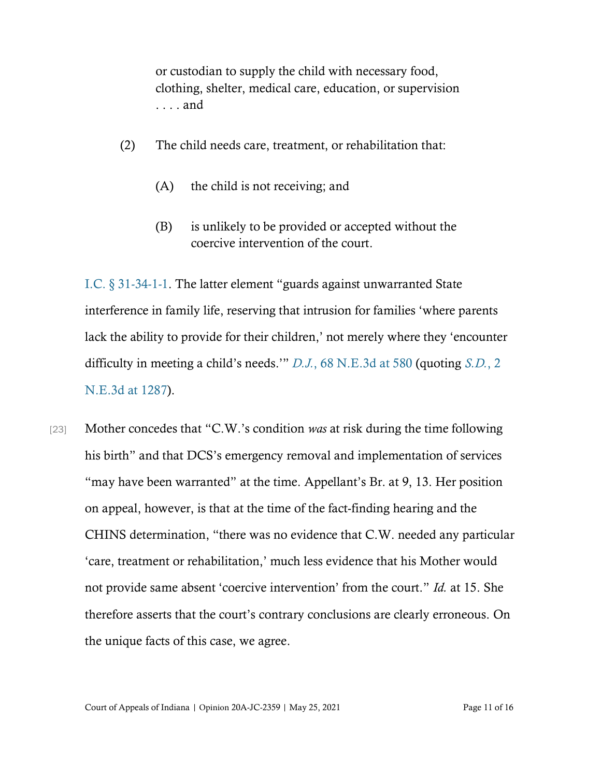or custodian to supply the child with necessary food, clothing, shelter, medical care, education, or supervision . . . . and

- (2) The child needs care, treatment, or rehabilitation that:
	- (A) the child is not receiving; and
	- (B) is unlikely to be provided or accepted without the coercive intervention of the court.

[I.C. § 31](https://www.westlaw.com/Document/NB33DAE60909D11E984C6B72F156B0EC8/View/FullText.html?transitionType=Default&contextData=(sc.Default)&VR=3.0&RS=cblt1.0)-34-1-1. The latter element "guards against unwarranted State interference in family life, reserving that intrusion for families 'where parents lack the ability to provide for their children,' not merely where they 'encounter difficulty in meeting a child's needs.'" *[D.J.](https://www.westlaw.com/Document/Ie599e370edb511e69a9296e6a6f4a986/View/FullText.html?transitionType=Default&contextData=(sc.Default)&VR=3.0&RS=da3.0&fragmentIdentifier=co_pp_sp_7902_580)*[, 68 N.E.3d at 580](https://www.westlaw.com/Document/Ie599e370edb511e69a9296e6a6f4a986/View/FullText.html?transitionType=Default&contextData=(sc.Default)&VR=3.0&RS=da3.0&fragmentIdentifier=co_pp_sp_7902_580) (quoting *[S.D.](https://www.westlaw.com/Document/I2cdd6db594b411e38914df21cb42a557/View/FullText.html?transitionType=Default&contextData=(sc.Default)&VR=3.0&RS=da3.0&fragmentIdentifier=co_pp_sp_7902_1287)*[, 2](https://www.westlaw.com/Document/I2cdd6db594b411e38914df21cb42a557/View/FullText.html?transitionType=Default&contextData=(sc.Default)&VR=3.0&RS=da3.0&fragmentIdentifier=co_pp_sp_7902_1287)  [N.E.3d at 1287\)](https://www.westlaw.com/Document/I2cdd6db594b411e38914df21cb42a557/View/FullText.html?transitionType=Default&contextData=(sc.Default)&VR=3.0&RS=da3.0&fragmentIdentifier=co_pp_sp_7902_1287).

[23] Mother concedes that "C.W.'s condition *was* at risk during the time following his birth" and that DCS's emergency removal and implementation of services "may have been warranted" at the time. Appellant's Br. at 9, 13. Her position on appeal, however, is that at the time of the fact-finding hearing and the CHINS determination, "there was no evidence that C.W. needed any particular 'care, treatment or rehabilitation,' much less evidence that his Mother would not provide same absent 'coercive intervention' from the court." *Id.* at 15. She therefore asserts that the court's contrary conclusions are clearly erroneous. On the unique facts of this case, we agree.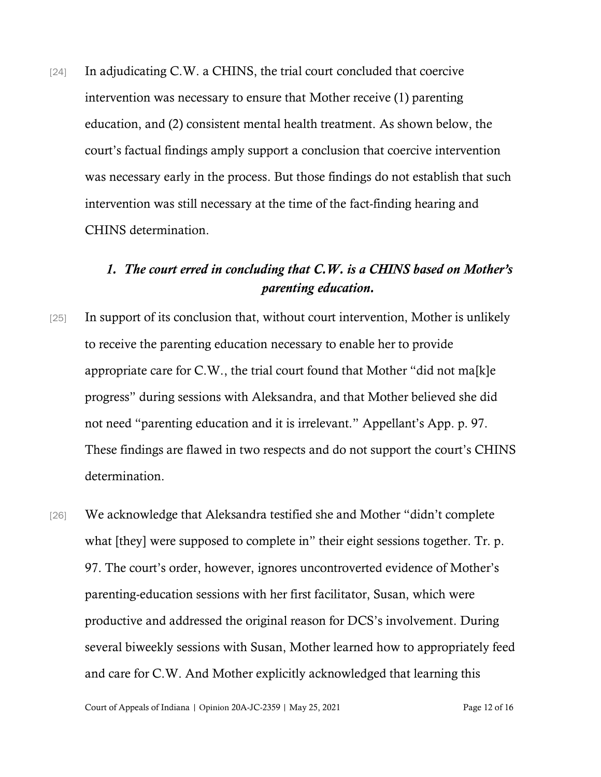[24] In adjudicating C.W. a CHINS, the trial court concluded that coercive intervention was necessary to ensure that Mother receive (1) parenting education, and (2) consistent mental health treatment. As shown below, the court's factual findings amply support a conclusion that coercive intervention was necessary early in the process. But those findings do not establish that such intervention was still necessary at the time of the fact-finding hearing and CHINS determination.

## *1. The court erred in concluding that C.W. is a CHINS based on Mother's parenting education.*

- [25] In support of its conclusion that, without court intervention, Mother is unlikely to receive the parenting education necessary to enable her to provide appropriate care for C.W., the trial court found that Mother "did not ma[k]e progress" during sessions with Aleksandra, and that Mother believed she did not need "parenting education and it is irrelevant." Appellant's App. p. 97. These findings are flawed in two respects and do not support the court's CHINS determination.
- [26] We acknowledge that Aleksandra testified she and Mother "didn't complete" what [they] were supposed to complete in" their eight sessions together. Tr. p. 97. The court's order, however, ignores uncontroverted evidence of Mother's parenting-education sessions with her first facilitator, Susan, which were productive and addressed the original reason for DCS's involvement. During several biweekly sessions with Susan, Mother learned how to appropriately feed and care for C.W. And Mother explicitly acknowledged that learning this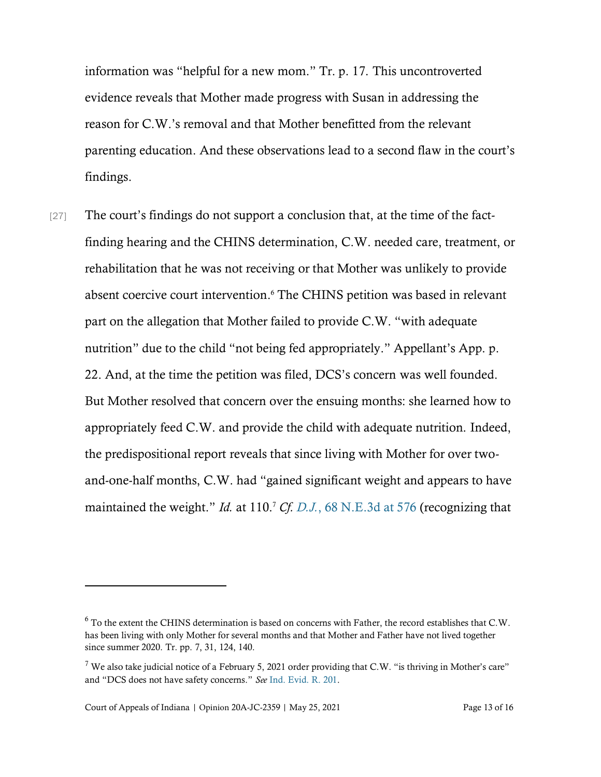information was "helpful for a new mom." Tr. p. 17. This uncontroverted evidence reveals that Mother made progress with Susan in addressing the reason for C.W.'s removal and that Mother benefitted from the relevant parenting education. And these observations lead to a second flaw in the court's findings.

[27] The court's findings do not support a conclusion that, at the time of the factfinding hearing and the CHINS determination, C.W. needed care, treatment, or rehabilitation that he was not receiving or that Mother was unlikely to provide absent coercive court intervention. <sup>6</sup> The CHINS petition was based in relevant part on the allegation that Mother failed to provide C.W. "with adequate nutrition" due to the child "not being fed appropriately." Appellant's App. p. 22. And, at the time the petition was filed, DCS's concern was well founded. But Mother resolved that concern over the ensuing months: she learned how to appropriately feed C.W. and provide the child with adequate nutrition. Indeed, the predispositional report reveals that since living with Mother for over twoand-one-half months, C.W. had "gained significant weight and appears to have maintained the weight." *Id.* at 110.<sup>7</sup> *Cf. [D.J.](https://www.westlaw.com/Document/Ie599e370edb511e69a9296e6a6f4a986/View/FullText.html?transitionType=Default&contextData=(sc.Default)&VR=3.0&RS=da3.0&fragmentIdentifier=co_pp_sp_7902_576)*[, 68 N.E.3d at 576](https://www.westlaw.com/Document/Ie599e370edb511e69a9296e6a6f4a986/View/FullText.html?transitionType=Default&contextData=(sc.Default)&VR=3.0&RS=da3.0&fragmentIdentifier=co_pp_sp_7902_576) (recognizing that

<sup>6</sup> To the extent the CHINS determination is based on concerns with Father, the record establishes that C.W. has been living with only Mother for several months and that Mother and Father have not lived together since summer 2020. Tr. pp. 7, 31, 124, 140.

 $7$  We also take judicial notice of a February 5, 2021 order providing that C.W. "is thriving in Mother's care" and "DCS does not have safety concerns." *See* [Ind. Evid. R. 201.](https://www.westlaw.com/Document/N4B2F4400AC5511DE97CFC30D94C59A9E/View/FullText.html?transitionType=Default&contextData=(sc.Default)&VR=3.0&RS=da3.0)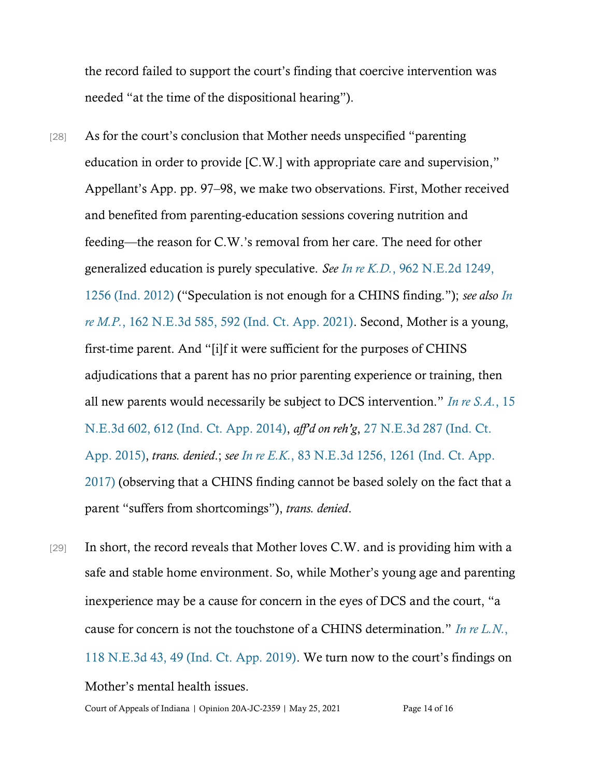the record failed to support the court's finding that coercive intervention was needed "at the time of the dispositional hearing").

- [28] As for the court's conclusion that Mother needs unspecified "parenting education in order to provide [C.W.] with appropriate care and supervision," Appellant's App. pp. 97–98, we make two observations. First, Mother received and benefited from parenting-education sessions covering nutrition and feeding—the reason for C.W.'s removal from her care. The need for other generalized education is purely speculative. *See In re K.D.*[, 962 N.E.2d 1249,](https://www.westlaw.com/Document/Ie487fde76e4211e1ac60ad556f635d49/View/FullText.html?transitionType=Default&contextData=(sc.Default)&VR=3.0&RS=da3.0&fragmentIdentifier=co_pp_sp_578_1256) [1256 \(Ind. 2012\)](https://www.westlaw.com/Document/Ie487fde76e4211e1ac60ad556f635d49/View/FullText.html?transitionType=Default&contextData=(sc.Default)&VR=3.0&RS=da3.0&fragmentIdentifier=co_pp_sp_578_1256) ("Speculation is not enough for a CHINS finding."); *see also [In](https://www.westlaw.com/Document/I1f2cc740654111eb887f92cebae89bda/View/FullText.html?transitionType=Default&contextData=(sc.Default)&VR=3.0&RS=da3.0&fragmentIdentifier=co_pp_sp_7902_592) [re M.P.](https://www.westlaw.com/Document/I1f2cc740654111eb887f92cebae89bda/View/FullText.html?transitionType=Default&contextData=(sc.Default)&VR=3.0&RS=da3.0&fragmentIdentifier=co_pp_sp_7902_592)*[, 162 N.E.3d 585, 592 \(Ind. Ct. App. 2021\).](https://www.westlaw.com/Document/I1f2cc740654111eb887f92cebae89bda/View/FullText.html?transitionType=Default&contextData=(sc.Default)&VR=3.0&RS=da3.0&fragmentIdentifier=co_pp_sp_7902_592) Second, Mother is a young, first-time parent. And "[i]f it were sufficient for the purposes of CHINS adjudications that a parent has no prior parenting experience or training, then all new parents would necessarily be subject to DCS intervention." *[In re S.A.](https://www.westlaw.com/Document/Ie263e5df25c511e4a795ac035416da91/View/FullText.html?transitionType=Default&contextData=(sc.Default)&VR=3.0&RS=da3.0&fragmentIdentifier=co_pp_sp_7902_612)*[, 15](https://www.westlaw.com/Document/Ie263e5df25c511e4a795ac035416da91/View/FullText.html?transitionType=Default&contextData=(sc.Default)&VR=3.0&RS=da3.0&fragmentIdentifier=co_pp_sp_7902_612) [N.E.3d 602, 612 \(Ind. Ct. App. 2014\),](https://www.westlaw.com/Document/Ie263e5df25c511e4a795ac035416da91/View/FullText.html?transitionType=Default&contextData=(sc.Default)&VR=3.0&RS=da3.0&fragmentIdentifier=co_pp_sp_7902_612) *aff'd on reh'g*, [27 N.E.3d 287 \(Ind. Ct.](https://www.westlaw.com/Document/Ica6f1b0bb3c711e4b86bd602cb8781fa/View/FullText.html?transitionType=Default&contextData=(sc.Default)&VR=3.0&RS=da3.0) [App. 2015\),](https://www.westlaw.com/Document/Ica6f1b0bb3c711e4b86bd602cb8781fa/View/FullText.html?transitionType=Default&contextData=(sc.Default)&VR=3.0&RS=da3.0) *trans. denied*.; *see In re E.K.*[, 83 N.E.3d 1256, 1261 \(Ind. Ct. App.](https://www.westlaw.com/Document/I1975d160a58311e792fdd763512bbe26/View/FullText.html?transitionType=Default&contextData=(sc.Default)&VR=3.0&RS=da3.0&fragmentIdentifier=co_pp_sp_7902_1261) [2017\)](https://www.westlaw.com/Document/I1975d160a58311e792fdd763512bbe26/View/FullText.html?transitionType=Default&contextData=(sc.Default)&VR=3.0&RS=da3.0&fragmentIdentifier=co_pp_sp_7902_1261) (observing that a CHINS finding cannot be based solely on the fact that a parent "suffers from shortcomings"), *trans. denied*.
- $[29]$  In short, the record reveals that Mother loves C.W. and is providing him with a safe and stable home environment. So, while Mother's young age and parenting inexperience may be a cause for concern in the eyes of DCS and the court, "a cause for concern is not the touchstone of a CHINS determination." *[In re L.N.](https://www.westlaw.com/Document/I717b21e01e7611e9a573b12ad1dad226/View/FullText.html?transitionType=Default&contextData=(sc.Default)&VR=3.0&RS=da3.0&fragmentIdentifier=co_pp_sp_7902_49)*[,](https://www.westlaw.com/Document/I717b21e01e7611e9a573b12ad1dad226/View/FullText.html?transitionType=Default&contextData=(sc.Default)&VR=3.0&RS=da3.0&fragmentIdentifier=co_pp_sp_7902_49) [118 N.E.3d 43, 49 \(Ind. Ct. App. 2019\).](https://www.westlaw.com/Document/I717b21e01e7611e9a573b12ad1dad226/View/FullText.html?transitionType=Default&contextData=(sc.Default)&VR=3.0&RS=da3.0&fragmentIdentifier=co_pp_sp_7902_49) We turn now to the court's findings on Mother's mental health issues.

Court of Appeals of Indiana | Opinion 20A-JC-2359 | May 25, 2021 Page 14 of 16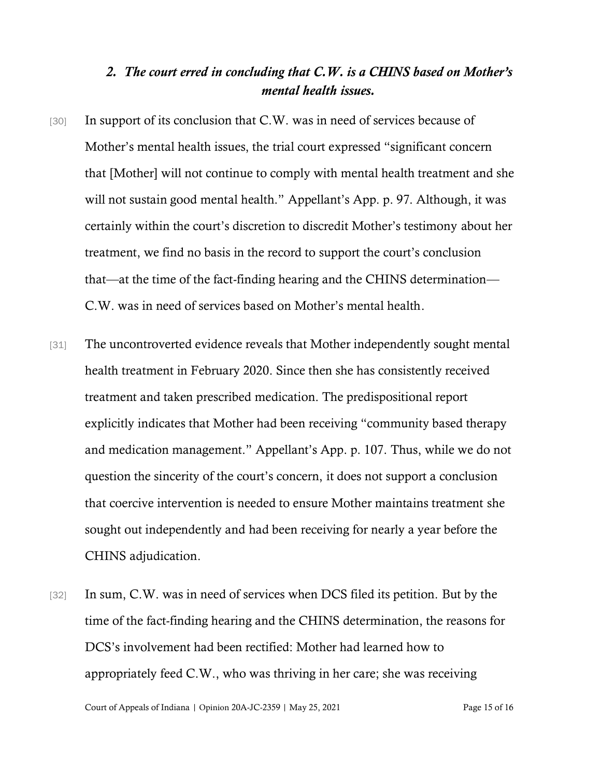### *2. The court erred in concluding that C.W. is a CHINS based on Mother's mental health issues.*

- [30] In support of its conclusion that C.W. was in need of services because of Mother's mental health issues, the trial court expressed "significant concern that [Mother] will not continue to comply with mental health treatment and she will not sustain good mental health." Appellant's App. p. 97. Although, it was certainly within the court's discretion to discredit Mother's testimony about her treatment, we find no basis in the record to support the court's conclusion that—at the time of the fact-finding hearing and the CHINS determination— C.W. was in need of services based on Mother's mental health.
- [31] The uncontroverted evidence reveals that Mother independently sought mental health treatment in February 2020. Since then she has consistently received treatment and taken prescribed medication. The predispositional report explicitly indicates that Mother had been receiving "community based therapy and medication management." Appellant's App. p. 107. Thus, while we do not question the sincerity of the court's concern, it does not support a conclusion that coercive intervention is needed to ensure Mother maintains treatment she sought out independently and had been receiving for nearly a year before the CHINS adjudication.
- [32] In sum, C.W. was in need of services when DCS filed its petition. But by the time of the fact-finding hearing and the CHINS determination, the reasons for DCS's involvement had been rectified: Mother had learned how to appropriately feed C.W., who was thriving in her care; she was receiving

Court of Appeals of Indiana | Opinion 20A-JC-2359 | May 25, 2021 Page 15 of 16